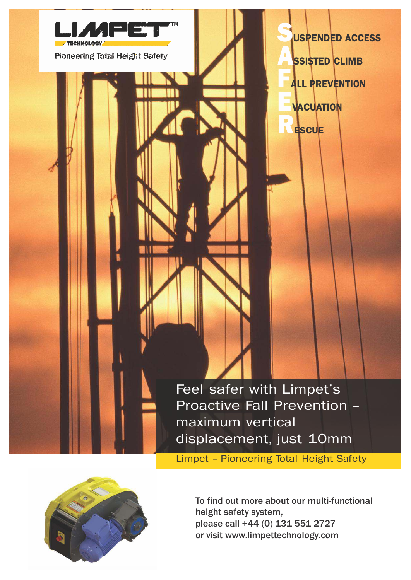

Limpet – Pioneering Total Height Safety



To find out more about our multi-functional height safety system, please call +44 (0) 131 551 2727 or visit [www.limpettechnology.com](http://www.limpettechnology.com/)